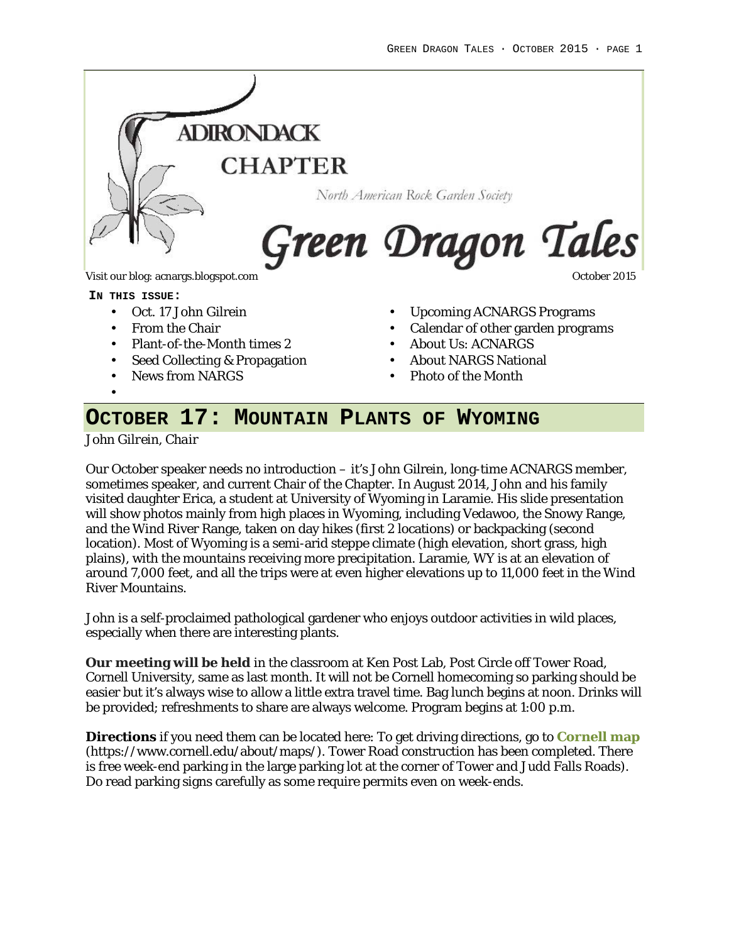

Visit our blog: acnargs.blogspot.com **October 2015** Community of the United States of the October 2015

**IN THIS ISSUE:**

- Oct. 17 John Gilrein
- From the Chair
- Plant-of-the-Month times 2
- Seed Collecting & Propagation
- News from NARGS
- Upcoming ACNARGS Programs
- Calendar of other garden programs
- About Us: ACNARGS
- About NARGS National
- Photo of the Month

# **OCTOBER 17: MOUNTAIN PLANTS OF WYOMING**

*John Gilrein, Chair*

•

Our October speaker needs no introduction – it's John Gilrein, long-time ACNARGS member, sometimes speaker, and current Chair of the Chapter. In August 2014, John and his family visited daughter Erica, a student at University of Wyoming in Laramie. His slide presentation will show photos mainly from high places in Wyoming, including Vedawoo, the Snowy Range, and the Wind River Range, taken on day hikes (first 2 locations) or backpacking (second location). Most of Wyoming is a semi-arid steppe climate (high elevation, short grass, high plains), with the mountains receiving more precipitation. Laramie, WY is at an elevation of around 7,000 feet, and all the trips were at even higher elevations up to 11,000 feet in the Wind River Mountains.

John is a self-proclaimed pathological gardener who enjoys outdoor activities in wild places, especially when there are interesting plants.

**Our meeting will be held** in the classroom at Ken Post Lab, Post Circle off Tower Road, Cornell University, same as last month. It will not be Cornell homecoming so parking should be easier but it's always wise to allow a little extra travel time. Bag lunch begins at noon. Drinks will be provided; refreshments to share are always welcome. Program begins at 1:00 p.m.

**Directions** if you need them can be located here: To get driving directions, go to **Cornell map** (https://www.cornell.edu/about/maps/). Tower Road construction has been completed. There is free week-end parking in the large parking lot at the corner of Tower and Judd Falls Roads). Do read parking signs carefully as some require permits even on week-ends.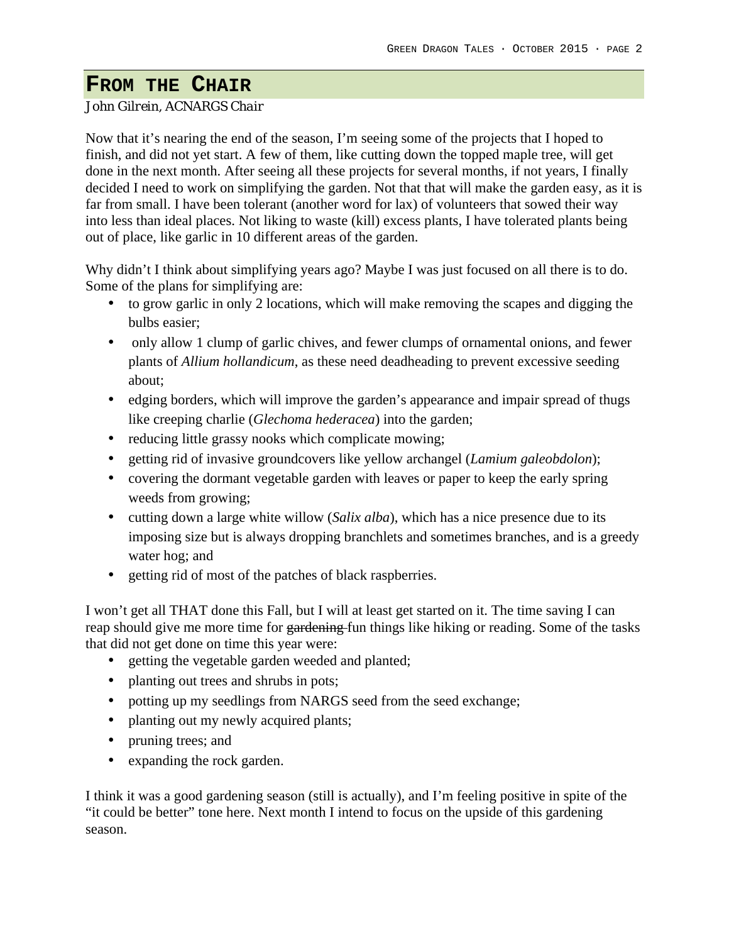## **FROM THE CHAIR**

#### *John Gilrein, ACNARGS Chair*

Now that it's nearing the end of the season, I'm seeing some of the projects that I hoped to finish, and did not yet start. A few of them, like cutting down the topped maple tree, will get done in the next month. After seeing all these projects for several months, if not years, I finally decided I need to work on simplifying the garden. Not that that will make the garden easy, as it is far from small. I have been tolerant (another word for lax) of volunteers that sowed their way into less than ideal places. Not liking to waste (kill) excess plants, I have tolerated plants being out of place, like garlic in 10 different areas of the garden.

Why didn't I think about simplifying years ago? Maybe I was just focused on all there is to do. Some of the plans for simplifying are:

- to grow garlic in only 2 locations, which will make removing the scapes and digging the bulbs easier;
- only allow 1 clump of garlic chives, and fewer clumps of ornamental onions, and fewer plants of *Allium hollandicum*, as these need deadheading to prevent excessive seeding about;
- edging borders, which will improve the garden's appearance and impair spread of thugs like creeping charlie (*Glechoma hederacea*) into the garden;
- reducing little grassy nooks which complicate mowing;
- getting rid of invasive groundcovers like yellow archangel (*Lamium galeobdolon*);
- covering the dormant vegetable garden with leaves or paper to keep the early spring weeds from growing;
- cutting down a large white willow (*Salix alba*), which has a nice presence due to its imposing size but is always dropping branchlets and sometimes branches, and is a greedy water hog; and
- getting rid of most of the patches of black raspberries.

I won't get all THAT done this Fall, but I will at least get started on it. The time saving I can reap should give me more time for gardening fun things like hiking or reading. Some of the tasks that did not get done on time this year were:

- getting the vegetable garden weeded and planted;
- planting out trees and shrubs in pots;
- potting up my seedlings from NARGS seed from the seed exchange;
- planting out my newly acquired plants;
- pruning trees; and
- expanding the rock garden.

I think it was a good gardening season (still is actually), and I'm feeling positive in spite of the "it could be better" tone here. Next month I intend to focus on the upside of this gardening season.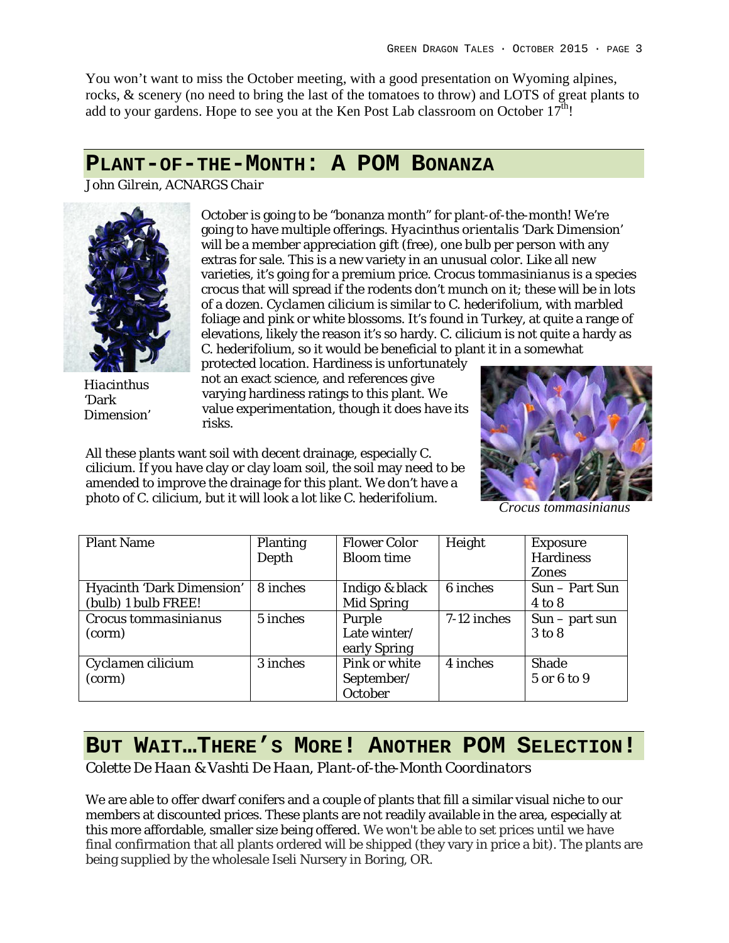You won't want to miss the October meeting, with a good presentation on Wyoming alpines, rocks, & scenery (no need to bring the last of the tomatoes to throw) and LOTS of great plants to add to your gardens. Hope to see you at the Ken Post Lab classroom on October  $17<sup>th</sup>!$ 

## **PLANT-OF-THE-MONTH: A POM BONANZA**

*John Gilrein, ACNARGS Chair*



*Hiacinthus* 'Dark Dimension'

October is going to be "bonanza month" for plant-of-the-month! We're going to have multiple offerings. *Hyacinthus orientalis* 'Dark Dimension' will be a member appreciation gift (free), one bulb per person with any extras for sale. This is a new variety in an unusual color. Like all new varieties, it's going for a premium price. *Crocus tommasinianus* is a species crocus that will spread if the rodents don't munch on it; these will be in lots of a dozen. *Cyclamen cilicium* is similar to *C. hederifolium*, with marbled foliage and pink or white blossoms. It's found in Turkey, at quite a range of elevations, likely the reason it's so hardy. *C. cilicium* is not quite a hardy as *C. hederifolium,* so it would be beneficial to plant it in a somewhat

protected location. Hardiness is unfortunately not an exact science, and references give varying hardiness ratings to this plant. We value experimentation, though it does have its risks.

All these plants want soil with decent drainage, especially *C. cilicium*. If you have clay or clay loam soil, the soil may need to be amended to improve the drainage for this plant. We don't have a photo of *C. cilicium*, but it will look a lot like *C. hederifolium*.



*Crocus tommasinianus*

| <b>Plant Name</b>                                | Planting<br>Depth | Flower Color<br>Bloom time             | Height      | Exposure<br>Hardiness<br>Zones |
|--------------------------------------------------|-------------------|----------------------------------------|-------------|--------------------------------|
| Hyacinth 'Dark Dimension'<br>(bulb) 1 bulb FREE! | 8 inches          | Indigo & black<br>Mid Spring           | 6 inches    | Sun - Part Sun<br>4 to 8       |
| Crocus tommasinianus<br>(corm)                   | 5 inches          | Purple<br>Late winter/<br>early Spring | 7-12 inches | $Sun - part sun$<br>3 to 8     |
| Cyclamen cilicium<br>(corm)                      | 3 inches          | Pink or white<br>September/<br>October | 4 inches    | Shade<br>5 or 6 to 9           |

#### BUT WAIT...THERE'S MORE! ANOTHER POM SELECTION! i

*Colette De Haan & Vashti De Haan, Plant-of-the-Month Coordinators* n

We are able to offer dwarf conifers and a couple of plants that fill a similar visual niche to our members at discounted prices. These plants are not readily available in the area, especially at n this more affordable, smaller size being offered. We won't be able to set prices until we have final confirmation that all plants ordered will be shipped (they vary in price a bit). The plants are being supplied by the wholesale Iseli Nursery in Boring, OR.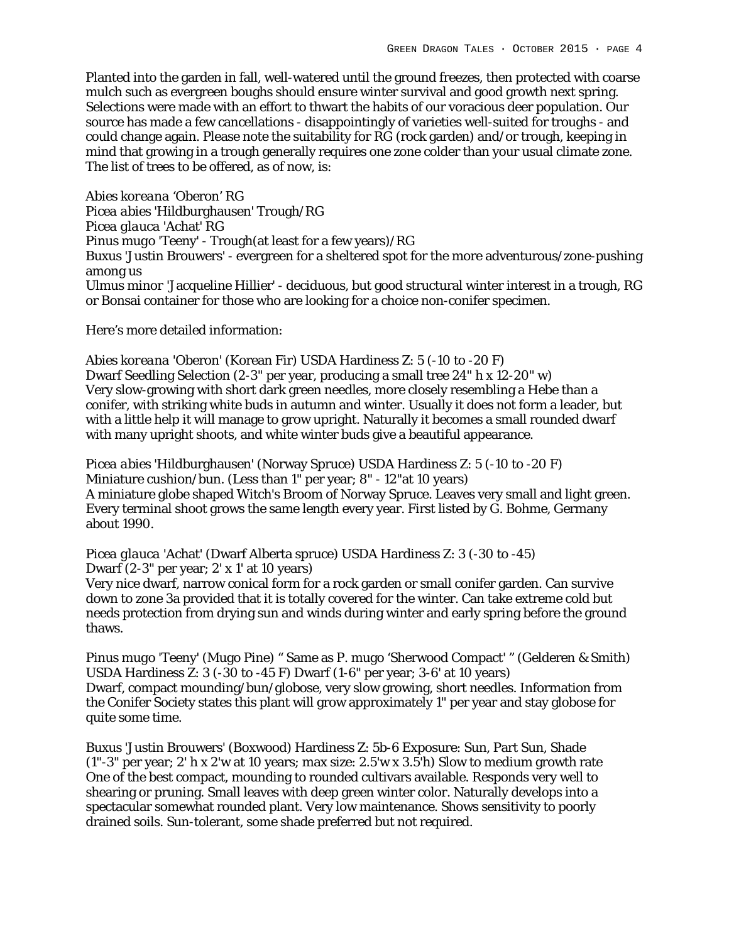Planted into the garden in fall, well-watered until the ground freezes, then protected with coarse mulch such as evergreen boughs should ensure winter survival and good growth next spring. Selections were made with an effort to thwart the habits of our voracious deer population. Our source has made a few cancellations - disappointingly of varieties well-suited for troughs - and could change again. Please note the suitability for RG (rock garden) and/or trough, keeping in mind that growing in a trough generally requires one zone colder than your usual climate zone. The list of trees to be offered, as of now, is:

*Abies koreana* 'Oberon' RG *Picea abies* 'Hildburghausen' Trough/RG *Picea glauca* 'Achat' RG *Pinus mugo* 'Teeny' - Trough(at least for a few years)/RG *Buxus* 'Justin Brouwers' - evergreen for a sheltered spot for the more adventurous/zone-pushing among us *Ulmus minor* 'Jacqueline Hillier' - deciduous, but good structural winter interest in a trough, RG or Bonsai container for those who are looking for a choice non-conifer specimen.

Here's more detailed information:

*Abies koreana* 'Oberon' (Korean Fir) USDA Hardiness Z: 5 (-10 to -20 F) Dwarf Seedling Selection (2-3" per year, producing a small tree 24" h x 12-20" w) Very slow-growing with short dark green needles, more closely resembling a Hebe than a conifer, with striking white buds in autumn and winter. Usually it does not form a leader, but with a little help it will manage to grow upright. Naturally it becomes a small rounded dwarf with many upright shoots, and white winter buds give a beautiful appearance.

*Picea abies* 'Hildburghausen' (Norway Spruce) USDA Hardiness Z: 5 (-10 to -20 F) Miniature cushion/bun. (Less than 1" per year; 8" - 12"at 10 years) A miniature globe shaped Witch's Broom of Norway Spruce. Leaves very small and light green. Every terminal shoot grows the same length every year. First listed by G. Bohme, Germany about 1990.

*Picea glauca* 'Achat' (Dwarf Alberta spruce) USDA Hardiness Z: 3 (-30 to -45) Dwarf (2-3" per year; 2' x 1' at 10 years)

Very nice dwarf, narrow conical form for a rock garden or small conifer garden. Can survive down to zone 3a provided that it is totally covered for the winter. Can take extreme cold but needs protection from drying sun and winds during winter and early spring before the ground thaws.

*Pinus mugo* 'Teeny' (Mugo Pine) " Same as P. mugo 'Sherwood Compact' " (Gelderen & Smith) USDA Hardiness Z: 3 (-30 to -45 F) Dwarf (1-6" per year; 3-6' at 10 years) Dwarf, compact mounding/bun/globose, very slow growing, short needles. Information from the Conifer Society states this plant will grow approximately 1" per year and stay globose for quite some time.

*Buxus* 'Justin Brouwers' (Boxwood) Hardiness Z: 5b-6 Exposure: Sun, Part Sun, Shade (1"-3" per year; 2' h x 2'w at 10 years; max size: 2.5'w x 3.5'h) Slow to medium growth rate One of the best compact, mounding to rounded cultivars available. Responds very well to shearing or pruning. Small leaves with deep green winter color. Naturally develops into a spectacular somewhat rounded plant. Very low maintenance. Shows sensitivity to poorly drained soils. Sun-tolerant, some shade preferred but not required.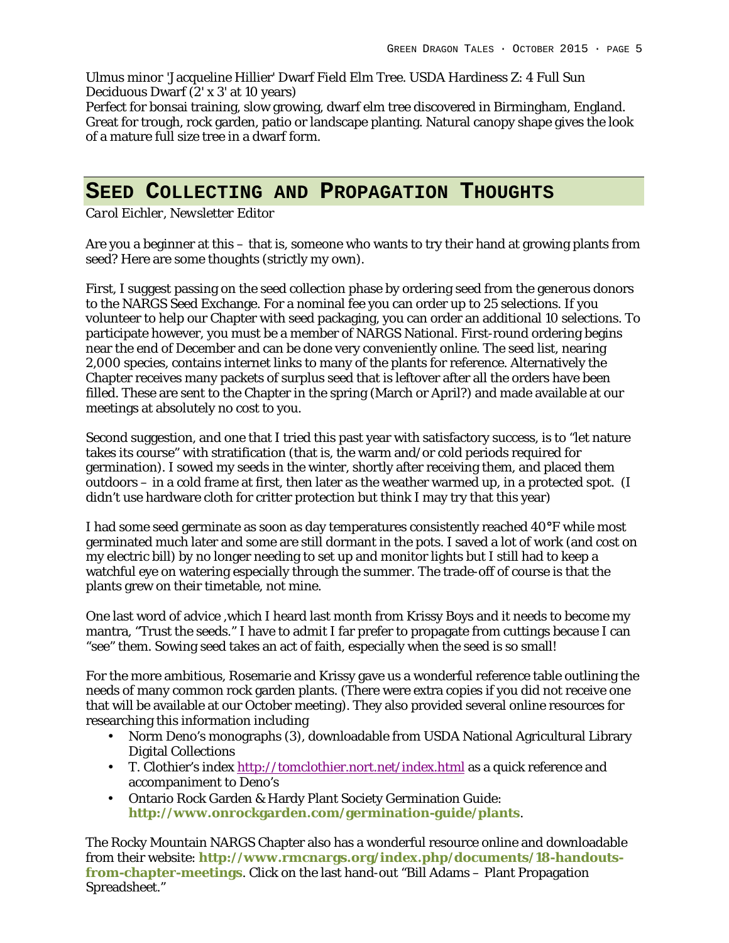*Ulmus minor* 'Jacqueline Hillier' Dwarf Field Elm Tree. USDA Hardiness Z: 4 Full Sun Deciduous Dwarf (2' x 3' at 10 years)

Perfect for bonsai training, slow growing, dwarf elm tree discovered in Birmingham, England. Great for trough, rock garden, patio or landscape planting. Natural canopy shape gives the look of a mature full size tree in a dwarf form.

## **SEED COLLECTING AND PROPAGATION THOUGHTS**

*Carol Eichler, Newsletter Editor*

Are you a beginner at this – that is, someone who wants to try their hand at growing plants from seed? Here are some thoughts (strictly my own).

First, I suggest passing on the seed collection phase by ordering seed from the generous donors to the NARGS Seed Exchange. For a nominal fee you can order up to 25 selections. If you volunteer to help our Chapter with seed packaging, you can order an additional 10 selections. To participate however, you must be a member of NARGS National. First-round ordering begins near the end of December and can be done very conveniently online. The seed list, nearing 2,000 species, contains internet links to many of the plants for reference. Alternatively the Chapter receives many packets of surplus seed that is leftover after all the orders have been filled. These are sent to the Chapter in the spring (March or April?) and made available at our meetings at absolutely no cost to you.

Second suggestion, and one that I tried this past year with satisfactory success, is to "let nature takes its course" with stratification (that is, the warm and/or cold periods required for germination). I sowed my seeds in the winter, shortly after receiving them, and placed them outdoors – in a cold frame at first, then later as the weather warmed up, in a protected spot. (I didn't use hardware cloth for critter protection but think I may try that this year)

I had some seed germinate as soon as day temperatures consistently reached 40**°**F while most germinated much later and some are still dormant in the pots. I saved a lot of work (and cost on my electric bill) by no longer needing to set up and monitor lights but I still had to keep a watchful eye on watering especially through the summer. The trade-off of course is that the plants grew on their timetable, not mine.

One last word of advice ,which I heard last month from Krissy Boys and it needs to become my mantra, "Trust the seeds." I have to admit I far prefer to propagate from cuttings because I can "see" them. Sowing seed takes an act of faith, especially when the seed is so small!

For the more ambitious, Rosemarie and Krissy gave us a wonderful reference table outlining the needs of many common rock garden plants. (There were extra copies if you did not receive one that will be available at our October meeting). They also provided several online resources for researching this information including

- Norm Deno's monographs (3), downloadable from USDA National Agricultural Library Digital Collections
- T. Clothier's index http://tomclothier.nort.net/index.html as a quick reference and accompaniment to Deno's
- Ontario Rock Garden & Hardy Plant Society Germination Guide: **http://www.onrockgarden.com/germination-guide/plants**.

The Rocky Mountain NARGS Chapter also has a wonderful resource online and downloadable from their website: **http://www.rmcnargs.org/index.php/documents/18-handoutsfrom-chapter-meetings**. Click on the last hand-out "Bill Adams – Plant Propagation Spreadsheet."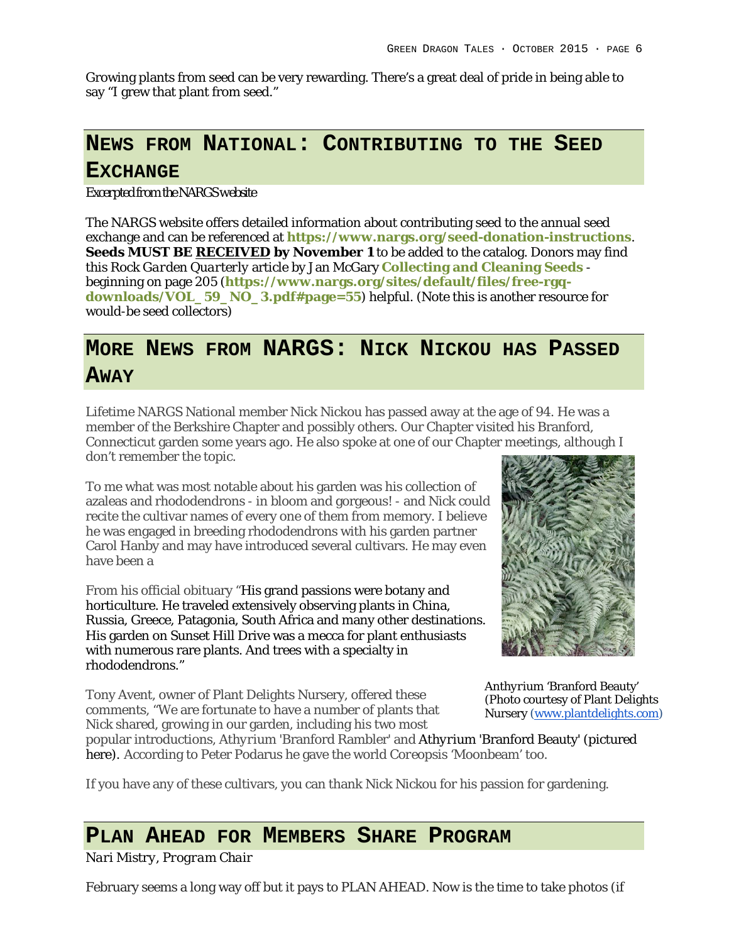Growing plants from seed can be very rewarding. There's a great deal of pride in being able to say "I grew that plant from seed."

## **NEWS FROM NATIONAL: CONTRIBUTING TO THE SEED EXCHANGE**

*Excerpted from the NARGS website*

The NARGS website offers detailed information about contributing seed to the annual seed exchange and can be referenced at **https://www.nargs.org/seed-donation-instructions**. **Seeds MUST BE RECEIVED by November 1** to be added to the catalog. Donors may find this *Rock Garden Quarterly* article by Jan McGary **Collecting and Cleaning Seeds** beginning on page 205 (**https://www.nargs.org/sites/default/files/free-rgqdownloads/VOL\_59\_NO\_3.pdf#page=55**) helpful. (Note this is another resource for would-be seed collectors)

# **MORE NEWS FROM NARGS: NICK NICKOU HAS PASSED AWAY**

Lifetime NARGS National member Nick Nickou has passed away at the age of 94. He was a member of the Berkshire Chapter and possibly others. Our Chapter visited his Branford, Connecticut garden some years ago. He also spoke at one of our Chapter meetings, although I don't remember the topic.

To me what was most notable about his garden was his collection of azaleas and rhododendrons - in bloom and gorgeous! - and Nick could recite the cultivar names of every one of them from memory. I believe he was engaged in breeding rhododendrons with his garden partner Carol Hanby and may have introduced several cultivars. He may even have been a

From his official obituary "His grand passions were botany and horticulture. He traveled extensively observing plants in China, Russia, Greece, Patagonia, South Africa and many other destinations. His garden on Sunset Hill Drive was a mecca for plant enthusiasts with numerous rare plants. And trees with a specialty in rhododendrons."

Tony Avent, owner of Plant Delights Nursery, offered these comments, "We are fortunate to have a number of plants that Nick shared, growing in our garden, including his two most



*Anthyrium* 'Branford Beauty' (Photo courtesy of Plant Delights Nursery (www.plantdelights.com)

popular introductions, *Athyrium* 'Branford Rambler' and *Athyrium* 'Branford Beauty' (pictured here). According to Peter Podarus he gave the world *Coreopsis* 'Moonbeam' too.

If you have any of these cultivars, you can thank Nick Nickou for his passion for gardening.

### **PLAN AHEAD FOR MEMBERS SHARE PROGRAM**

*Nari Mistry, Program Chair*

February seems a long way off but it pays to PLAN AHEAD. Now is the time to take photos (if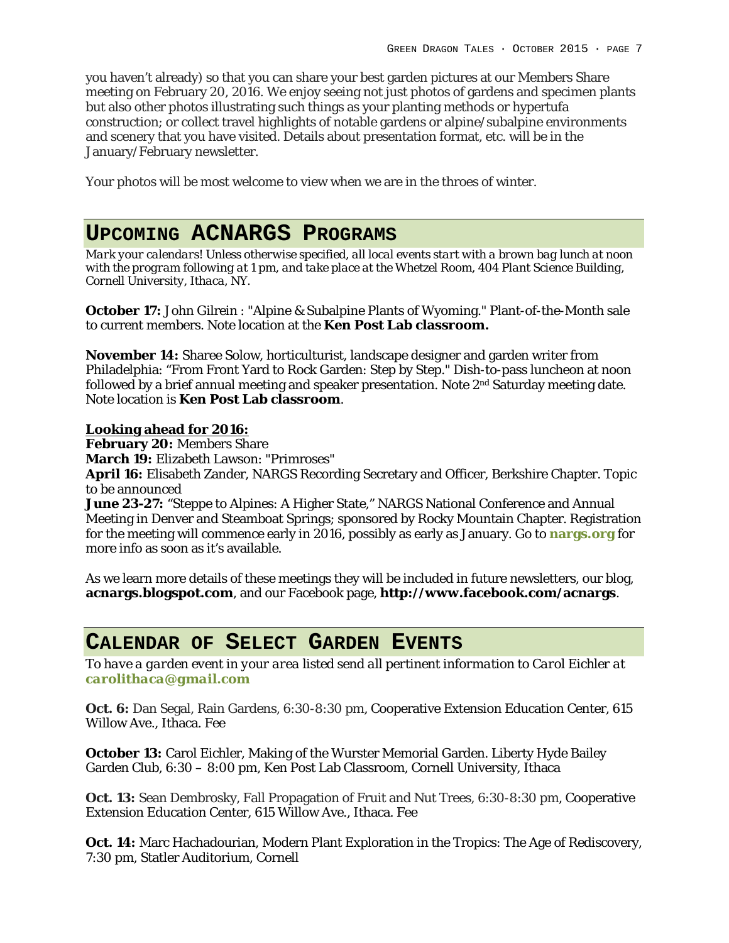you haven't already) so that you can share your best garden pictures at our Members Share meeting on February 20, 2016. We enjoy seeing not just photos of gardens and specimen plants but also other photos illustrating such things as your planting methods or hypertufa construction; or collect travel highlights of notable gardens or alpine/subalpine environments and scenery that you have visited. Details about presentation format, etc. will be in the January/February newsletter.

Your photos will be most welcome to view when we are in the throes of winter.

### **UPCOMING ACNARGS PROGRAMS**

*Mark your calendars! Unless otherwise specified, all local events start with a brown bag lunch at noon with the program following at 1 pm, and take place at the Whetzel Room, 404 Plant Science Building, Cornell University, Ithaca, NY.*

**October 17:** John Gilrein : "Alpine & Subalpine Plants of Wyoming." Plant-of-the-Month sale to current members. Note location at the **Ken Post Lab classroom.**

**November 14:** Sharee Solow, horticulturist, landscape designer and garden writer from Philadelphia: "From Front Yard to Rock Garden: Step by Step." Dish-to-pass luncheon at noon followed by a brief annual meeting and speaker presentation. Note 2nd Saturday meeting date. Note location is **Ken Post Lab classroom**.

**Looking ahead for 2016:**

**February 20:** Members Share

**March 19:** Elizabeth Lawson: "Primroses"

**April 16:** Elisabeth Zander, NARGS Recording Secretary and Officer, Berkshire Chapter. Topic to be announced

**June 23-27:** "Steppe to Alpines: A Higher State," NARGS National Conference and Annual Meeting in Denver and Steamboat Springs; sponsored by Rocky Mountain Chapter. Registration for the meeting will commence early in 2016, possibly as early as January. Go to **nargs.org** for more info as soon as it's available.

As we learn more details of these meetings they will be included in future newsletters, our blog, **acnargs.blogspot.com**, and our Facebook page, **http://www.facebook.com/acnargs**.

#### **CALENDAR OF SELECT GARDEN EVENTS**

*To have a garden event in your area listed send all pertinent information to Carol Eichler at carolithaca@gmail.com*

**Oct. 6:** Dan Segal, Rain Gardens, 6:30-8:30 pm, Cooperative Extension Education Center, 615 Willow Ave., Ithaca. Fee

**October 13:** Carol Eichler, Making of the Wurster Memorial Garden. Liberty Hyde Bailey Garden Club, 6:30 – 8:00 pm, Ken Post Lab Classroom, Cornell University, Ithaca

**Oct. 13:** Sean Dembrosky, Fall Propagation of Fruit and Nut Trees, 6:30-8:30 pm, Cooperative Extension Education Center, 615 Willow Ave., Ithaca. Fee

**Oct. 14:** Marc Hachadourian, Modern Plant Exploration in the Tropics: The Age of Rediscovery, 7:30 pm, Statler Auditorium, Cornell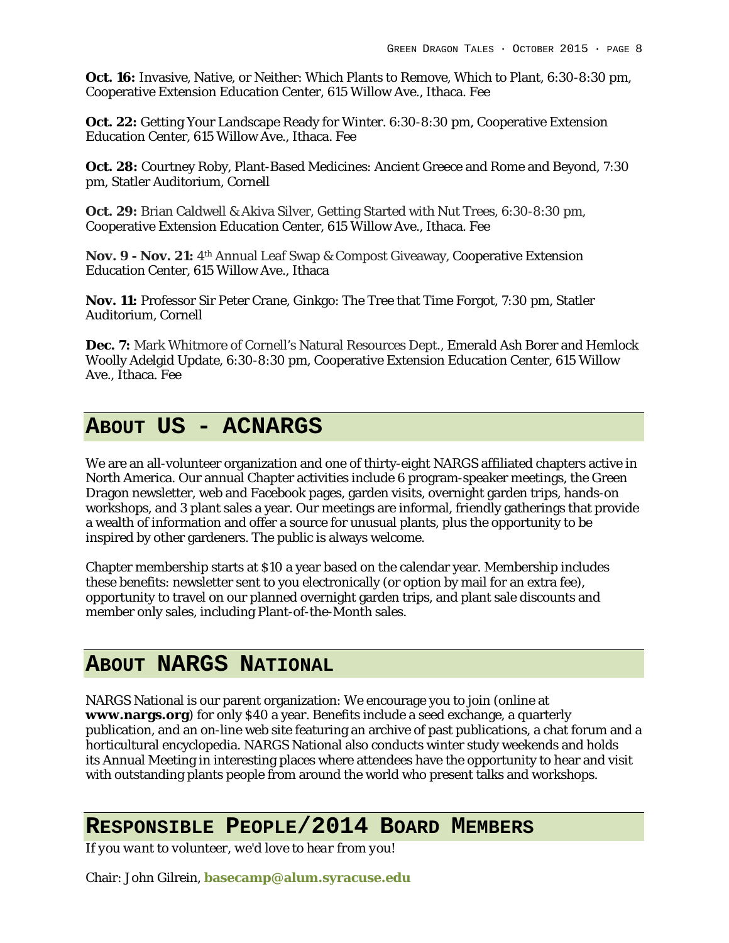**Oct. 16:** Invasive, Native, or Neither: Which Plants to Remove, Which to Plant, 6:30-8:30 pm, Cooperative Extension Education Center, 615 Willow Ave., Ithaca. Fee

**Oct. 22:** Getting Your Landscape Ready for Winter. 6:30-8:30 pm, Cooperative Extension Education Center, 615 Willow Ave., Ithaca. Fee

**Oct. 28:** Courtney Roby, Plant-Based Medicines: Ancient Greece and Rome and Beyond, 7:30 pm, Statler Auditorium, Cornell

**Oct. 29:** Brian Caldwell & Akiva Silver, Getting Started with Nut Trees, 6:30-8:30 pm, Cooperative Extension Education Center, 615 Willow Ave., Ithaca. Fee

**Nov. 9 - Nov. 21:** 4th Annual Leaf Swap & Compost Giveaway, Cooperative Extension Education Center, 615 Willow Ave., Ithaca

**Nov. 11:** Professor Sir Peter Crane, Ginkgo: The Tree that Time Forgot, 7:30 pm, Statler Auditorium, Cornell

**Dec. 7:** Mark Whitmore of Cornell's Natural Resources Dept., Emerald Ash Borer and Hemlock Woolly Adelgid Update, 6:30-8:30 pm, Cooperative Extension Education Center, 615 Willow Ave., Ithaca. Fee

## **ABOUT US - ACNARGS**

We are an all-volunteer organization and one of thirty-eight NARGS affiliated chapters active in North America. Our annual Chapter activities include 6 program-speaker meetings, the Green Dragon newsletter, web and Facebook pages, garden visits, overnight garden trips, hands-on workshops, and 3 plant sales a year. Our meetings are informal, friendly gatherings that provide a wealth of information and offer a source for unusual plants, plus the opportunity to be inspired by other gardeners. The public is always welcome.

Chapter membership starts at \$10 a year based on the calendar year. Membership includes these benefits: newsletter sent to you electronically (or option by mail for an extra fee), opportunity to travel on our planned overnight garden trips, and plant sale discounts and member only sales, including Plant-of-the-Month sales.

## **ABOUT NARGS NATIONAL**

NARGS National is our parent organization: We encourage you to join (online at **www.nargs.org**) for only \$40 a year. Benefits include a seed exchange, a quarterly publication, and an on-line web site featuring an archive of past publications, a chat forum and a horticultural encyclopedia. NARGS National also conducts winter study weekends and holds its Annual Meeting in interesting places where attendees have the opportunity to hear and visit with outstanding plants people from around the world who present talks and workshops.

### **RESPONSIBLE PEOPLE/2014 BOARD MEMBERS**

*If you want to volunteer, we'd love to hear from you!*

Chair: John Gilrein, **basecamp@alum.syracuse.edu**